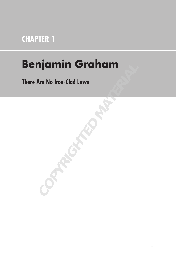**CHAPTER 1**

## **Benjamin Graham**

**There Are No Iron-Clad Laws**

**Solution** and the contract of the contract of the contract of the contract of the contract of the contract of the contract of the contract of the contract of the contract of the contract of the contract of the contract of **Pre No Iron-Clad Laws**<br>Are No Iron-Clad Laws<br>Copyright Material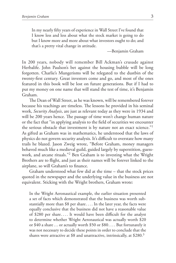In my nearly fifty years of experience in Wall Street I've found that I know less and less about what the stock market is going to do but I know more and more about what investors ought to do; and that's a pretty vital change in attitude.

—Benjamin Graham

In 200 years, nobody will remember Bill Ackman's crusade against Herbalife. John Paulson's bet against the housing bubble will be long forgotten. Charlie's Mungerisms will be relegated to the dustbin of the twenty-first century. Great investors come and go, and most of the ones featured in this book will be lost on future generations. But if I had to put my money on one name that will stand the test of time, it's Benjamin Graham.

As gifted as Graham was in mathematics, he understood that the laws of The Dean of Wall Street, as he was known, will be remembered forever because his teachings are timeless. The lessons he provided in his seminal work, *Security Analysis*, are just as relevant today as they were in 1934 and will be 200 years hence. The passage of time won't change human nature or the fact that "in applying analysis to the field of securities we encounter the serious obstacle that investment is by nature not an exact science."<sup>1</sup> physics do not govern security analysis. It's difficult to overstate how many trails he blazed. Jason Zweig wrote, "Before Graham, money managers behaved much like a medieval guild, guided largely by superstition, guesswork, and arcane rituals."2 Ben Graham is to investing what the Wright Brothers are to flight, and just as their names will be forever linked to the airplane, so will Graham's to finance.

> Graham understood what few did at the time – that the stock prices quoted in the newspaper and the underlying value in the business are not equivalent. Sticking with the Wright brothers, Graham wrote:

In the Wright Aeronautical example, the earlier situation presented a set of facts which demonstrated that the business was worth substantially more than \$8 per share. . . . In the later year, the facts were equally conclusive that the business did not have a reasonable value of \$280 per share. . . . It would have been difficult for the analyst to determine whether Wright Aeronautical was actually worth \$20 or \$40 a share… or actually worth \$50 or \$80. . . . But fortunately it was not necessary to decide these points in order to conclude that the shares were attractive at \$8 and unattractive, intrinsically, at \$280.<sup>3</sup>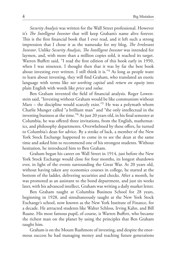*Security Analysis* was written for the Wall Street professional. However it's *The Intelligent Investor* that will keep Graham's name alive forever. This is the first financial book that I ever read, and it left such a strong impression that I chose it as the namesake for my blog, *The Irrelevant Investor*. Unlike *Security Analysis, The Intelligent Investor* was intended for laymen, and, with more than a million copies sold, it reached its target. Warren Buffett said, "I read the first edition of this book early in 1950, when I was nineteen. I thought then that it was by far the best book about investing ever written. I still think it is." $4$  As long as people want to learn about investing, they will find Graham, who translated an exotic language with terms like *net working capital* and *return on equity* into plain English with words like *price* and *value*.

❦ ❦ to Columbia's dean for advice. By a stroke of luck, a member of the New Ben Graham invented the field of financial analysis. Roger Lowenstein said, "Investing without Graham would be like communism without Marx – the discipline would scarcely exist."<sup>5</sup> He was a polymath whom Charlie Munger called "a brilliant man" and "the only intellectual in the investing business at the time."<sup>6</sup> At just 20 years old, in his final semester at Columbia, he was offered three invitations, from the English, mathematics, and philosophy departments. Overwhelmed by these offers, he turned York Stock Exchange happened to come in to see the dean at the same time and asked him to recommend one of his strongest students. Without hesitation, he introduced him to Ben Graham.

> Graham began his career on Wall Street in 1914, just before the New York Stock Exchange would close for four months, its longest shutdown ever, in light of the events surrounding the Great War. At 20 years old, without having taken any economics courses in college, he started at the bottom of the ladder, delivering securities and checks. After a month, he was promoted as an assistant to the bond department, and just six weeks later, with his advanced intellect, Graham was writing a daily market letter.

> Ben Graham taught at Columbia Business School for 28 years, beginning in 1928, and simultaneously taught at the New York Stock Exchange's school, now known as the New York Institute of Finance, for a decade. He attracted students like Walter Schloss, Irving Kahn, and Bill Ruane. His most famous pupil, of course, is Warren Buffett, who became the richest man on the planet by using the principles that Ben Graham taught him.

> Graham is on the Mount Rushmore of investing, and despite the enormous success he had managing money and teaching future generations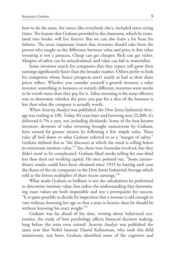how to do the same, his career, like everybody else's, included some trying times. The lessons that Graham provided in the classroom, which he translated into books, will live forever. But we can also learn a lot from his failures. The most important lesson that investors should take from the person who taught us the difference between value and price is that value investing is not a panacea. Cheap can get cheaper. Rich can get richer. Margins of safety can be miscalculated, and value can fail to materialize.

Some investors search for companies that they expect will grow their earnings significantly faster than the broader market. Others prefer to look for companies whose future prospects aren't nearly as bad as their share prices reflect. Whether you consider yourself a growth investor, a value investor, something in between or entirely different, investors want stocks to be worth more than they pay for it. Value investing is the most effective way to determine whether the price you pay for a slice of the business is less than what the company is actually worth.

have earned far greater returns by following a few simple rules. These When *Security Analysis* was published, the Dow Jones Industrial Average was trading at 100. Today, 84 years later and hovering near 22,000, it's delivered 6.7% a year, not including dividends. Some of the best-known investors, devotees of value investing brought mainstream by Graham, rules all boil down to what Graham referred to as a "margin of safety." Graham defined this as "the discount at which the stock is selling below its minimum intrinsic value."<sup>7</sup> Yes, there were formulas involved, but they didn't need to be complicated. Graham liked stocks selling for one-third less than their net working capital. He once pointed out, "Some extraordinary results could have been obtained since 1933 by buying each year the shares of the six companies in the Dow Jones Industrial Average which sold at the lowest multiplier of their recent earnings."<sup>8</sup>

> What made Graham so brilliant is not the calculations he performed to determine intrinsic value, but rather the understanding that determining exact values are both impossible and not a prerequisite for success. "It is quite possible to decide by inspection that a woman is old enough to vote without knowing her age or that a man is heavier than he should be without knowing his exact weight."<sup>9</sup>

> Graham was far ahead of his time, writing about behavioral economics, the study of how psychology affects financial decision making, long before the term even existed. *Security Analysis* was published the same year that Nobel laureate Daniel Kahneman, who took this field mainstream, was born. Graham identified some of the cognitive and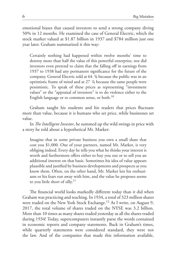emotional biases that caused investors to send a strong company diving 50% in 12 months. He examined the case of General Electric, which the stock market valued at \$1.87 billion in 1937 and \$784 million just one year later. Graham summarized it this way:

Certainly nothing had happened within twelve months' time to destroy more than half the value of this powerful enterprise, nor did investors even pretend to claim that the falling off in earnings from 1937 to 1938 had any permanent significance for the future of the company. General Electric sold at  $64$   $\frac{7}{8}$  because the public was in an optimistic frame of mind and at 27 1/4 because the same people were pessimistic. To speak of these prices as representing "investment values" or the "appraisal of investors" is to do violence either to the English language or to common sense, or both.<sup>10</sup>

Graham taught his students and his readers that prices fluctuate more than value, because it is humans who set price, while businesses set value.

❦ ❦ a story he told about a hypothetical Mr. Market: In *The Intelligent Investor*, he summed up the wild swings in price with

> Imagine that in some private business you own a small share that cost you \$1,000. One of your partners, named Mr. Market, is very obliging indeed. Every day he tells you what he thinks your interest is worth and furthermore offers either to buy you out or to sell you an additional interest on that basis. Sometimes his idea of value appears plausible and justified by business developments and prospects as you know them. Often, on the other hand, Mr. Market lets his enthusiasm or his fears run away with him, and the value he proposes seems to you little short of silly.<sup>11</sup>

The financial world looks markedly different today than it did when Graham was practicing and teaching. In 1934, a total of 323 million shares were traded on the New York Stock Exchange.<sup>12</sup> As I write, on August 9, 2017, the total volume of shares traded on the NYSE was 3.2 billion. More than 10 times as many shares traded yesterday as all the shares traded during 1934! Today, supercomputers instantly parse the words contained in economic reports and company statements. Back in Graham's times, while quarterly statements were considered standard, they were not the law. And of the companies that made this information available,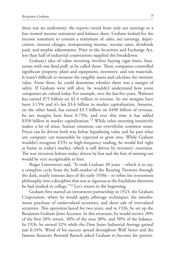there was no uniformity; the reports varied from only net earnings to a line itemed income statement and balance sheet. Graham looked for the income statement to contain a minimum of: sales, net earnings, depreciation, interest charges, nonoperating income, income taxes, dividends paid, and surplus adjustments. Prior to the Securities and Exchange Act, less than half of industrial corporations supplied this breakdown.

Prices can be driven both way below liquidating value and far past what Graham's idea of value investing involves buying cigar butts, businesses with one final puff, as he called them. These companies controlled significant property, plant and equipment, inventory, and raw materials. It wasn't difficult to measure the tangible assets and calculate the intrinsic value. From there, he could determine whether there was a margin of safety. If Graham were still alive, he wouldn't understand how some companies are valued today. For example, over the last five years, Walmart has earned \$75 billion on \$2.4 trillion in revenue. Its net margins have been 3.15% and it's *lost* \$3.6 billion in market capitalization. Amazon, on the other hand, has earned \$3.5 billion on \$490 billion of revenue. Its net margins have been 0.73%, and over this time it has added  $$350$  billion in market capitalization.<sup>13</sup> While value investing intuitively makes a lot of sense, human emotions can overwhelm common sense. any company can reasonably be expected to grow into. While Graham wouldn't recognize ETFs or high-frequency trading, he would feel right at home in today's market, which is still driven by investors' emotions. The way investors behave today, driven by fear and the fear of missing out would be very recognizable to him.

> Roger Lowenstein said, "It took Graham 20 years – which is to say, a complete cycle from the bull market of the Roaring Twenties through the dark, nearly ruinous days of the early 1930s – to refine his investment philosophy into a discipline that was as rigorous as the Euclidean theorems he had studied in college."14 Let's return to the beginning.

> Graham first started an investment partnership in 1923, the Graham Corporation, where he would apply arbitrage techniques, the simultaneous purchase of undervalued securities, and short sale of overvalued securities. This operation lasted for two years, and in 1926, he set up the Benjamin Graham Joint Account. In this structure, he would receive 20% of the first 20% return, 30% of the next 30%, and 50% of the balance. In 1926, he earned 32% while the Dow Jones Industrial Average gained just 0.34%. Word of his success spread throughout Wall Street and the famous financier Bernard Baruch asked Graham to become his partner.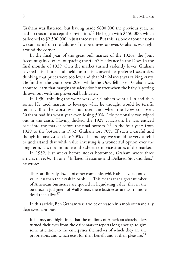Graham was flattered, but having made \$600,000 the previous year, he had no reason to accept the invitation.<sup>15</sup> He began with \$450,000, which ballooned to \$2,500,000 in just three years. But this is a book about lessons we can learn from the failures of the best investors ever. Graham's was right around the corner.

In the final year of the great bull market of the 1920s, the Joint Account gained 60%, outpacing the 49.47% advance in the Dow. In the final months of 1929 when the market turned violently lower, Graham covered his shorts and held onto his convertible preferred securities, thinking that prices were too low and that Mr. Market was talking crazy. He finished the year down 20%, while the Dow fell 17%. Graham was about to learn that margins of safety don't matter when the baby is getting thrown out with the proverbial bathwater.

❦ ❦ 1929 to the bottom in 1932, Graham lost 70%. If such a careful and In 1930, thinking the worst was over, Graham went all in and then some. He used margin to leverage what he thought would be terrific returns. But the worst was not over, and when the Dow collapsed, Graham had his worst year ever, losing 50%. "He personally was wiped out in the crash. Having ducked the 1929 cataclysm, he was enticed back into the market before the final bottom."<sup>16</sup> In the four years from thoughtful analyst can lose 70% of his money, we should be very careful to understand that while value investing is a wonderful option over the long term, it is not immune to the short-term vicissitudes of the market.

> In 1932, just weeks before stocks bottomed, Graham wrote three articles in *Forbes*. In one, "Inflated Treasuries and Deflated Stockholders," he wrote:

There are literally dozens of other companies which also have a quoted value less than their cash in bank. . . . This means that a great number of American businesses are quoted in liquidating value; that in the best recent judgment of Wall Street, these businesses are worth more dead than alive  $^{17}$ 

In this article, Ben Graham was a voice of reason in a mob of financially depressed zombies:

It is time, and high time, that the millions of American shareholders turned their eyes from the daily market reports long enough to give some attention to the enterprises themselves of which they are the proprietors, and which exist for their benefit and at their pleasure.<sup>18</sup>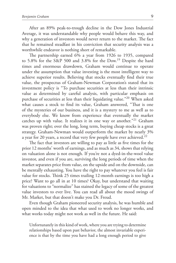After an 89% peak-to-trough decline in the Dow Jones Industrial Average, it was understandable why people would behave this way, and why a generation of investors would never return to the market. The fact that he remained steadfast in his conviction that security analysis was a worthwhile endeavor is nothing short of remarkable.

❦ ❦ strategy. Graham-Newman would outperform the market by nearly 3% The partnership earned 6% a year from 1926 to 1935, compared to 5.8% for the S&P 500 and 3.8% for the Dow.<sup>19</sup> Despite the hard times and enormous drawdown, Graham would continue to operate under the assumption that value investing is the most intelligent way to achieve superior results. Believing that stocks eventually find their true value, the prospectus of Graham-Newman Corporation's stated that its investment policy is "To purchase securities at less than their intrinsic value as determined by careful analysis, with particular emphasis on purchase of securities at less than their liquidating value."20 When asked what causes a stock to find its value, Graham answered, "That is one of the mysteries of our business, and it is a mystery to me as well as to everybody else. We know from experience that eventually the market catches up with value. It realizes it in one way or another."<sup>21</sup> Graham was proven right; over the long, long term, buying cheap stocks is a great a year for 20 years, a record that very few people have ever achieved.<sup>22</sup>

> The fact that investors are willing to pay as little as five times for the prior 12 months' worth of earnings, and as much as 34, shows that relying on valuation alone is not enough. If you're not a dyed-in-the-wool value investor, and even if you are, surviving the long periods of time when the market separates price from value, on the upside and on the downside, can be mentally exhausting. You have the right to pay whatever you feel is fair value for stocks. Think 25 times trailing 12-month earnings is too high a price? Want to go all in at 10 times? Okay, but understand that waiting for valuations to "normalize" has stained the legacy of some of the greatest value investors to ever live. You can read all about the mood swings of Mr. Market, but that doesn't make you Dr. Freud.

> Even though Graham pioneered security analysis, he was humble and open minded to the idea that what used to work no longer works, and what works today might not work as well in the future. He said:

Unfortunately in this kind of work, where you are trying to determine relationships based upon past behavior, the almost invariable experience is that by the time you have had a long enough period to give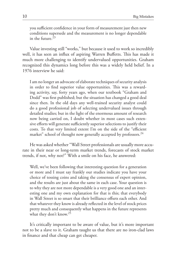you sufficient confidence in your form of measurement just then new conditions supersede and the measurement is no longer dependable in the future.<sup>23</sup>

Value investing still "works," but because it used to work so incredibly well, it has seen an influx of aspiring Warren Buffetts. This has made it much more challenging to identify undervalued opportunities. Graham recognized this dynamics long before this was a widely held belief. In a 1976 interview he said:

costs. To that very limited extent I'm on the side of the "efficient" I am no longer an advocate of elaborate techniques of security analysis in order to find superior value opportunities. This was a rewarding activity, say, forty years ago, when our textbook "Graham and Dodd" was first published; but the situation has changed a good deal since then. In the old days any well-trained security analyst could do a good professional job of selecting undervalued issues through detailed studies; but in the light of the enormous amount of research now being carried on, I doubt whether in most cases such extensive efforts will generate sufficiently superior selections to justify their market" school of thought now generally accepted by professors.<sup>24</sup>

> He was asked whether "Wall Street professionals are usually more accurate in their near or long-term market trends, forecasts of stock market trends, if not, why not?" With a smile on his face, he answered:

Well, we've been following that interesting question for a generation or more and I must say frankly our studies indicate you have your choice of tossing coins and taking the consensus of expert opinion, and the results are just about the same in each case. Your question is to why they are not more dependable is a very good one and an interesting one and my own explanation for that is this; that everybody in Wall Street is so smart that their brilliance offsets each other. And that whatever they know is already reflected in the level of stock prices pretty much and consequently what happens in the future represents what they don't know.25

It's critically important to be aware of value, but it's more important not to be a slave to it. Graham taught us that there are no iron-clad laws in finance and that cheap can get cheaper.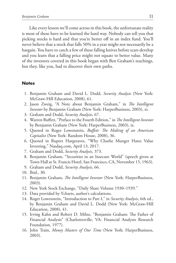Like every lesson we'll come across in this book, the unfortunate reality is most of these have to be learned the hard way. Nobody can tell you that picking stocks is hard and that you're better off in an index fund. You'll never believe that a stock that falls 50% in a year might not necessarily be a bargain. You have to catch a few of these falling knives before scars develop and you learn that a falling price might not equate to better value. Many of the investors covered in this book began with Ben Graham's teachings, but they, like you, had to discover their own paths.

## **Notes**

- 1. Benjamin Graham and David L. Dodd, *Security Analysis* (New York: McGraw-Hill Education, 2008), 61.
- 2. Jason Zweig, "A Note about Benjamin Graham," in *The Intelligent Investor* by Benjamin Graham (New York: HarperBusiness, 2003), xi.
- 3. Graham and Dodd, *Security Analysis*, 67.
- 4. Warren Buffett, "Preface to the Fourth Edition," in *The Intelligent Investor* by Benjamin Graham (New York: HarperBusiness, 2003), ix.
- ❦ ❦ 5. Quoted in Roger Lowenstein, *Buffett: The Making of an American Capitalist* (New York: Random House, 2008), 36.
	- 6. Quoted in Rupert Hargreaves, "Why Charlie Munger Hates Value Investing," Nasdaq.com, April 13, 2017.
	- 7. Graham and Dodd, *Security Analysis*, 373.
	- 8. Benjamin Graham, "Securities in an Insecure World" (speech given at Town Hall at St. Francis Hotel, San Francisco, CA, November 15, 1963).
	- 9. Graham and Dodd, *Security Analysis*, 66.
	- 10. Ibid., 30.
	- 11. Benjamin Graham, *The Intelligent Investor* (New York: HarperBusiness, 2003).
	- 12. New York Stock Exchange, "Daily Share Volume 1930–1939."
	- 13. Data provided by Ycharts, author's calculations.
	- 14. Roger Lowenstein, "Introduction to Part I," in *Security Analysis*, 6th ed., by Benjamin Graham and David L. Dodd (New York: McGraw-Hill Education, 2008), 41.
	- 15. Irving Kahn and Robert D. Milne, "Benjamin Graham: The Father of Financial Analysis" (Charlottesville, VA: Financial Analysts Research Foundation, 1977).
	- 16. John Train, *Money Masters of Our Time* (New York: HarperBusiness, 2003).